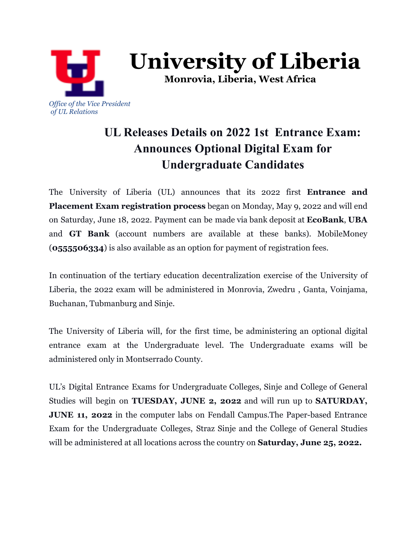

**University of Liberia**

**Monrovia, Liberia, West Africa**

# **UL Releases Details on 2022 1st Entrance Exam: Announces Optional Digital Exam for Undergraduate Candidates**

The University of Liberia (UL) announces that its 2022 first **Entrance and Placement Exam registration process** began on Monday, May 9, 2022 and will end on Saturday, June 18, 2022. Payment can be made via bank deposit at **EcoBank**, **UBA** and **GT Bank** (account numbers are available at these banks). MobileMoney (**0555506334**) is also available as an option for payment of registration fees.

In continuation of the tertiary education decentralization exercise of the University of Liberia, the 2022 exam will be administered in Monrovia, Zwedru , Ganta, Voinjama, Buchanan, Tubmanburg and Sinje.

The University of Liberia will, for the first time, be administering an optional digital entrance exam at the Undergraduate level. The Undergraduate exams will be administered only in Montserrado County.

UL's Digital Entrance Exams for Undergraduate Colleges, Sinje and College of General Studies will begin on **TUESDAY, JUNE 2, 2022** and will run up to **SATURDAY, JUNE 11, 2022** in the computer labs on Fendall Campus.The Paper-based Entrance Exam for the Undergraduate Colleges, Straz Sinje and the College of General Studies will be administered at all locations across the country on **Saturday, June 25, 2022.**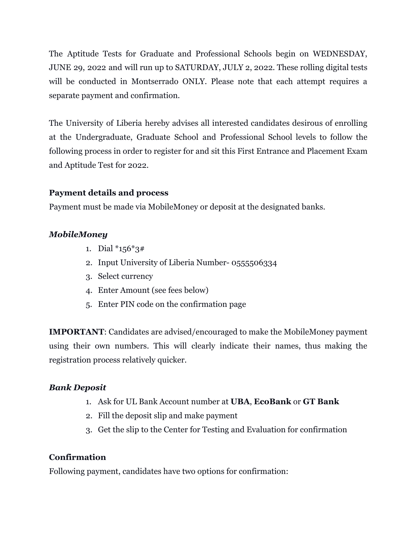The Aptitude Tests for Graduate and Professional Schools begin on WEDNESDAY, JUNE 29, 2022 and will run up to SATURDAY, JULY 2, 2022. These rolling digital tests will be conducted in Montserrado ONLY. Please note that each attempt requires a separate payment and confirmation.

The University of Liberia hereby advises all interested candidates desirous of enrolling at the Undergraduate, Graduate School and Professional School levels to follow the following process in order to register for and sit this First Entrance and Placement Exam and Aptitude Test for 2022.

## **Payment details and process**

Payment must be made via MobileMoney or deposit at the designated banks.

## *MobileMoney*

- 1. Dial \*156\*3#
- 2. Input University of Liberia Number- 0555506334
- 3. Select currency
- 4. Enter Amount (see fees below)
- 5. Enter PIN code on the confirmation page

**IMPORTANT**: Candidates are advised/encouraged to make the MobileMoney payment using their own numbers. This will clearly indicate their names, thus making the registration process relatively quicker.

#### *Bank Deposit*

- 1. Ask for UL Bank Account number at **UBA**, **EcoBank** or **GT Bank**
- 2. Fill the deposit slip and make payment
- 3. Get the slip to the Center for Testing and Evaluation for confirmation

#### **Confirmation**

Following payment, candidates have two options for confirmation: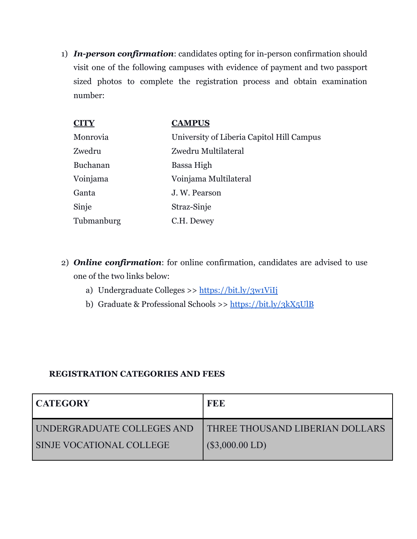1) *In-person confirmation*: candidates opting for in-person confirmation should visit one of the following campuses with evidence of payment and two passport sized photos to complete the registration process and obtain examination number:

| <b>CAMPUS</b>                             |
|-------------------------------------------|
| University of Liberia Capitol Hill Campus |
| Zwedru Multilateral                       |
| Bassa High                                |
| Voinjama Multilateral                     |
| J. W. Pearson                             |
| Straz-Sinje                               |
| C.H. Dewey                                |
|                                           |

- 2) *Online confirmation*: for online confirmation, candidates are advised to use one of the two links below:
	- a) Undergraduate Colleges >> <https://bit.ly/3w1ViIj>
	- b) Graduate & Professional Schools >> <https://bit.ly/3kX5UlB>

#### **REGISTRATION CATEGORIES AND FEES**

| <b>FEE</b>                             |
|----------------------------------------|
| <b>THREE THOUSAND LIBERIAN DOLLARS</b> |
| $(\$3,000.00$ LD)                      |
|                                        |